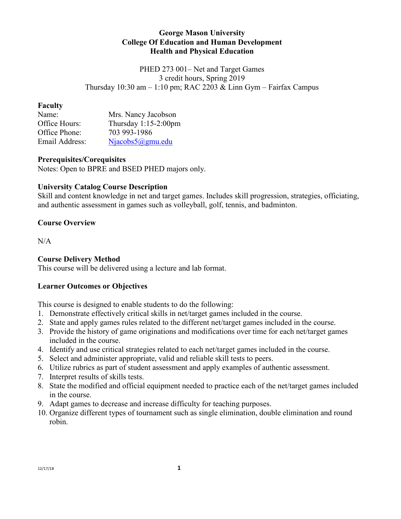#### **George Mason University College Of Education and Human Development Health and Physical Education**

PHED 273 001– Net and Target Games 3 credit hours, Spring 2019 Thursday  $10:30$  am  $-1:10$  pm; RAC 2203 & Linn Gym – Fairfax Campus

#### **Faculty**

| Name:          | Mrs. Nancy Jacobson     |
|----------------|-------------------------|
| Office Hours:  | Thursday $1:15-2:00$ pm |
| Office Phone:  | 703 993-1986            |
| Email Address: | $Niacobs5(a)gmu.edu$    |

#### **Prerequisites/Corequisites**

Notes: Open to BPRE and BSED PHED majors only.

## **University Catalog Course Description**

Skill and content knowledge in net and target games. Includes skill progression, strategies, officiating, and authentic assessment in games such as volleyball, golf, tennis, and badminton.

## **Course Overview**

 $N/A$ 

## **Course Delivery Method**

This course will be delivered using a lecture and lab format.

## **Learner Outcomes or Objectives**

This course is designed to enable students to do the following:

- 1. Demonstrate effectively critical skills in net/target games included in the course.
- 2. State and apply games rules related to the different net/target games included in the course.
- 3. Provide the history of game originations and modifications over time for each net/target games included in the course.
- 4. Identify and use critical strategies related to each net/target games included in the course.
- 5. Select and administer appropriate, valid and reliable skill tests to peers.
- 6. Utilize rubrics as part of student assessment and apply examples of authentic assessment.
- 7. Interpret results of skills tests.
- 8. State the modified and official equipment needed to practice each of the net/target games included in the course.
- 9. Adapt games to decrease and increase difficulty for teaching purposes.
- 10. Organize different types of tournament such as single elimination, double elimination and round robin.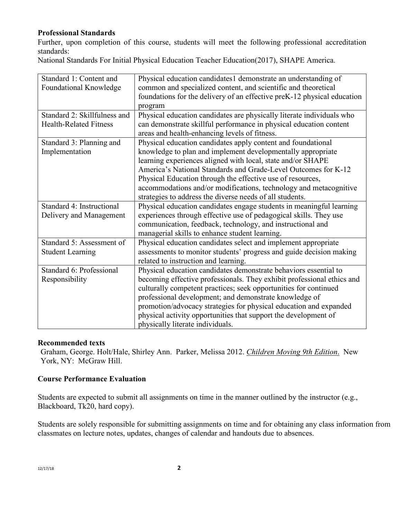## **Professional Standards**

Further, upon completion of this course, students will meet the following professional accreditation standards:

National Standards For Initial Physical Education Teacher Education(2017), SHAPE America.

| Standard 1: Content and       | Physical education candidates1 demonstrate an understanding of          |
|-------------------------------|-------------------------------------------------------------------------|
| Foundational Knowledge        | common and specialized content, and scientific and theoretical          |
|                               | foundations for the delivery of an effective preK-12 physical education |
|                               | program                                                                 |
| Standard 2: Skillfulness and  | Physical education candidates are physically literate individuals who   |
| <b>Health-Related Fitness</b> | can demonstrate skillful performance in physical education content      |
|                               | areas and health-enhancing levels of fitness.                           |
| Standard 3: Planning and      | Physical education candidates apply content and foundational            |
| Implementation                | knowledge to plan and implement developmentally appropriate             |
|                               | learning experiences aligned with local, state and/or SHAPE             |
|                               | America's National Standards and Grade-Level Outcomes for K-12          |
|                               | Physical Education through the effective use of resources,              |
|                               | accommodations and/or modifications, technology and metacognitive       |
|                               | strategies to address the diverse needs of all students.                |
| Standard 4: Instructional     | Physical education candidates engage students in meaningful learning    |
| Delivery and Management       | experiences through effective use of pedagogical skills. They use       |
|                               | communication, feedback, technology, and instructional and              |
|                               | managerial skills to enhance student learning.                          |
| Standard 5: Assessment of     | Physical education candidates select and implement appropriate          |
| <b>Student Learning</b>       | assessments to monitor students' progress and guide decision making     |
|                               | related to instruction and learning.                                    |
| Standard 6: Professional      | Physical education candidates demonstrate behaviors essential to        |
| Responsibility                | becoming effective professionals. They exhibit professional ethics and  |
|                               | culturally competent practices; seek opportunities for continued        |
|                               | professional development; and demonstrate knowledge of                  |
|                               | promotion/advocacy strategies for physical education and expanded       |
|                               | physical activity opportunities that support the development of         |
|                               | physically literate individuals.                                        |

#### **Recommended texts**

Graham, George. Holt/Hale, Shirley Ann. Parker, Melissa 2012. *Children Moving 9th Edition*. New York, NY: McGraw Hill.

#### **Course Performance Evaluation**

Students are expected to submit all assignments on time in the manner outlined by the instructor (e.g., Blackboard, Tk20, hard copy).

Students are solely responsible for submitting assignments on time and for obtaining any class information from classmates on lecture notes, updates, changes of calendar and handouts due to absences.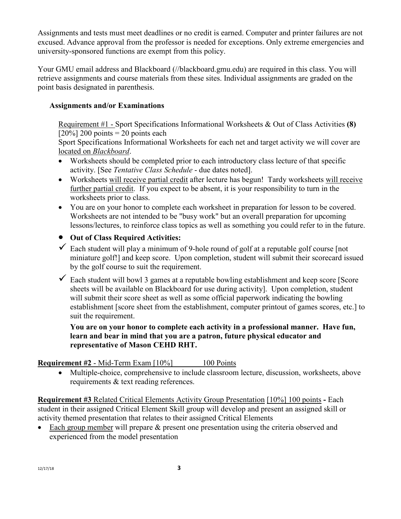Assignments and tests must meet deadlines or no credit is earned. Computer and printer failures are not excused. Advance approval from the professor is needed for exceptions. Only extreme emergencies and university-sponsored functions are exempt from this policy.

Your GMU email address and Blackboard (//blackboard.gmu.edu) are required in this class. You will retrieve assignments and course materials from these sites. Individual assignments are graded on the point basis designated in parenthesis.

## **Assignments and/or Examinations**

Requirement #1 - Sport Specifications Informational Worksheets & Out of Class Activities **(8)**  $[20\%]$  200 points = 20 points each

Sport Specifications Informational Worksheets for each net and target activity we will cover are located on *Blackboard*.

- Worksheets should be completed prior to each introductory class lecture of that specific activity. [See *Tentative Class Schedule* - due dates noted].
- Worksheets will receive partial credit after lecture has begun! Tardy worksheets will receive further partial credit. If you expect to be absent, it is your responsibility to turn in the worksheets prior to class.
- You are on your honor to complete each worksheet in preparation for lesson to be covered. Worksheets are not intended to be "busy work" but an overall preparation for upcoming lessons/lectures, to reinforce class topics as well as something you could refer to in the future.
- **Out of Class Required Activities:**
- $\checkmark$  Each student will play a minimum of 9-hole round of golf at a reputable golf course [not miniature golf!] and keep score. Upon completion, student will submit their scorecard issued by the golf course to suit the requirement.
- $\checkmark$  Each student will bowl 3 games at a reputable bowling establishment and keep score [Score] sheets will be available on Blackboard for use during activity]. Upon completion, student will submit their score sheet as well as some official paperwork indicating the bowling establishment [score sheet from the establishment, computer printout of games scores, etc.] to suit the requirement.

**You are on your honor to complete each activity in a professional manner. Have fun, learn and bear in mind that you are a patron, future physical educator and representative of Mason CEHD RHT.**

# **Requirement #2** - Mid-Term Exam [10%] 100 Points

• Multiple-choice, comprehensive to include classroom lecture, discussion, worksheets, above requirements & text reading references.

**Requirement #3** Related Critical Elements Activity Group Presentation [10%] 100 points **-** Each student in their assigned Critical Element Skill group will develop and present an assigned skill or activity themed presentation that relates to their assigned Critical Elements

• Each group member will prepare & present one presentation using the criteria observed and experienced from the model presentation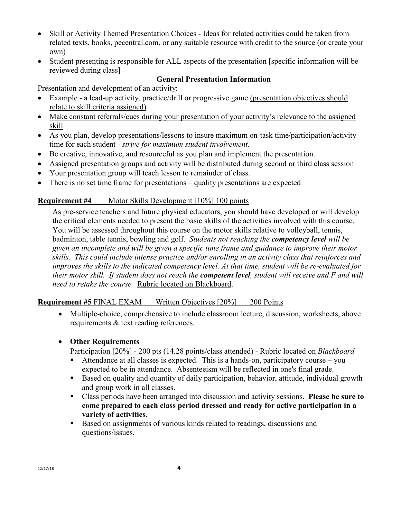- Skill or Activity Themed Presentation Choices Ideas for related activities could be taken from related texts, books, pecentral.com, or any suitable resource with credit to the source (or create your own)
- Student presenting is responsible for ALL aspects of the presentation [specific information will be reviewed during class]

#### **General Presentation Information**

Presentation and development of an activity:

- Example a lead-up activity, practice/drill or progressive game (presentation objectives should relate to skill criteria assigned)
- Make constant referrals/cues during your presentation of your activity's relevance to the assigned skill
- As you plan, develop presentations/lessons to insure maximum on-task time/participation/activity time for each student - *strive for maximum student involvement.*
- Be creative, innovative, and resourceful as you plan and implement the presentation.
- Assigned presentation groups and activity will be distributed during second or third class session
- Your presentation group will teach lesson to remainder of class.
- There is no set time frame for presentations quality presentations are expected

## **Requirement #4** Motor Skills Development [10%] 100 points

As pre-service teachers and future physical educators, you should have developed or will develop the critical elements needed to present the basic skills of the activities involved with this course. You will be assessed throughout this course on the motor skills relative to volleyball, tennis, badminton, table tennis, bowling and golf. *Students not reaching the competency level will be given an incomplete and will be given a specific time frame and guidance to improve their motor skills. This could include intense practice and/or enrolling in an activity class that reinforces and improves the skills to the indicated competency level. At that time, student will be re-evaluated for their motor skill. If student does not reach the competent level, student will receive and F and will need to retake the course.* Rubric located on Blackboard.

## **Requirement #5** FINAL EXAM Written Objectives [20%] 200 Points

• Multiple-choice, comprehensive to include classroom lecture, discussion, worksheets, above requirements & text reading references.

## • **Other Requirements**

Participation [20%] - 200 pts (14.28 points/class attended) - Rubric located on *Blackboard*

- Attendance at all classes is expected. This is a hands-on, participatory course you expected to be in attendance. Absenteeism will be reflected in one's final grade.
- Based on quality and quantity of daily participation, behavior, attitude, individual growth and group work in all classes.
- Class periods have been arranged into discussion and activity sessions. **Please be sure to come prepared to each class period dressed and ready for active participation in a variety of activities.**
- **Based on assignments of various kinds related to readings, discussions and** questions/issues.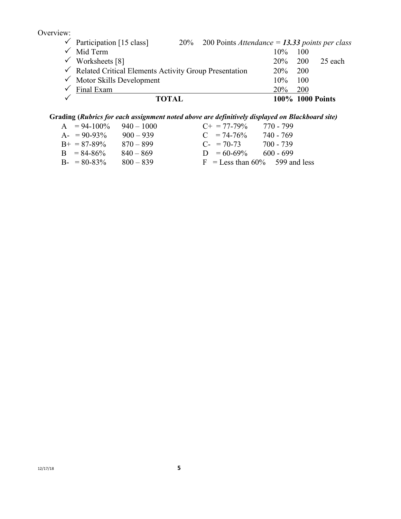Overview:

| <b>TOTAL</b>                                                       |                                                    |            |            | 100% 1000 Points |
|--------------------------------------------------------------------|----------------------------------------------------|------------|------------|------------------|
| $\checkmark$ Final Exam                                            |                                                    | <b>20%</b> | 200        |                  |
| $\checkmark$ Motor Skills Development                              |                                                    | 10%        | 100        |                  |
| $\checkmark$ Related Critical Elements Activity Group Presentation |                                                    | 20%        | <b>200</b> |                  |
| $\checkmark$ Worksheets [8]                                        |                                                    | 20%        | - 200      | 25 each          |
| $\checkmark$ Mid Term                                              |                                                    | $10\%$     | <b>100</b> |                  |
| $\checkmark$ Participation [15 class]                              | 20% 200 Points Attendance = 13.33 points per class |            |            |                  |

# **Grading (***Rubrics for each assignment noted above are definitively displayed on Blackboard site)*

| $A = 94-100\%$      | $940 - 1000$ | $C_{\pm} = 77 - 79\%$             | 770 - 799   |
|---------------------|--------------|-----------------------------------|-------------|
| $A = 90-93\%$       | $900 - 939$  | $C = 74-76%$                      | 740 - 769   |
| $B_{+} = 87 - 89\%$ | $870 - 899$  | $C_{-}$ = 70-73                   | 700 - 739   |
| $B = 84-86%$        | $840 - 869$  | $D = 60-69\%$                     | $600 - 699$ |
| $B - 80 - 83\%$     | $800 - 839$  | $F = I$ ess than 60% 599 and less |             |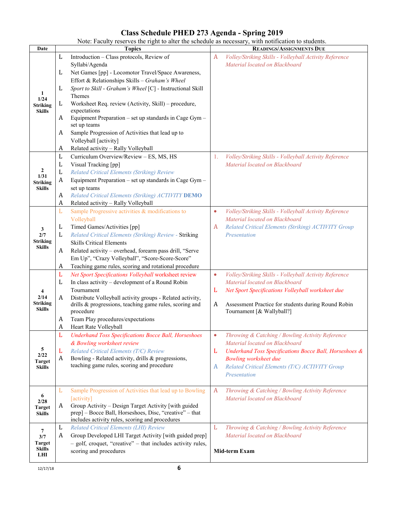# **Class Schedule PHED 273 Agenda - Spring 2019**

| Note: Faculty reserves the right to alter the schedule as necessary, with notification to students. |  |                                           |  |                                                     |
|-----------------------------------------------------------------------------------------------------|--|-------------------------------------------|--|-----------------------------------------------------|
| Date                                                                                                |  | Topics                                    |  | <b>READINGS/ASSIGNMENTS DUE</b>                     |
|                                                                                                     |  | Introduction – Class protocols, Review of |  | Volley/Striking Skills - Volleyball Activity Refere |

|                                | L | Introduction - Class protocols, Review of                   | Volley/Striking Skills - Volleyball Activity Reference<br>A         |  |
|--------------------------------|---|-------------------------------------------------------------|---------------------------------------------------------------------|--|
|                                |   | Syllabi/Agenda                                              | Material located on Blackboard                                      |  |
|                                | L | Net Games [pp] - Locomotor Travel/Space Awareness,          |                                                                     |  |
|                                |   | Effort & Relationships Skills - Graham's Wheel              |                                                                     |  |
|                                | L | Sport to Skill - Graham's Wheel [C] - Instructional Skill   |                                                                     |  |
| -1<br>1/24                     |   | Themes                                                      |                                                                     |  |
| <b>Striking</b>                | L | Worksheet Req. review (Activity, Skill) – procedure,        |                                                                     |  |
| <b>Skills</b>                  |   | expectations                                                |                                                                     |  |
|                                | A | Equipment Preparation - set up standards in Cage Gym -      |                                                                     |  |
|                                |   | set up teams                                                |                                                                     |  |
|                                | A | Sample Progression of Activities that lead up to            |                                                                     |  |
|                                |   | Volleyball [activity]                                       |                                                                     |  |
|                                | A | Related activity - Rally Volleyball                         |                                                                     |  |
|                                | L | Curriculum Overview/Review - ES, MS, HS                     | Volley/Striking Skills - Volleyball Activity Reference<br>1.        |  |
|                                | L | Visual Tracking [pp]                                        | Material located on Blackboard                                      |  |
| $\mathbf{2}$                   | L | Related Critical Elements (Striking) Review                 |                                                                     |  |
| 1/31<br><b>Striking</b>        | A | Equipment Preparation - set up standards in Cage Gym -      |                                                                     |  |
| <b>Skills</b>                  |   | set up teams                                                |                                                                     |  |
|                                | A | Related Critical Elements (Striking) ACTIVITY DEMO          |                                                                     |  |
|                                | A | Related activity - Rally Volleyball                         |                                                                     |  |
|                                | L | Sample Progressive activities & modifications to            | Volley/Striking Skills - Volleyball Activity Reference<br>$\bullet$ |  |
|                                |   | Volleyball                                                  | Material located on Blackboard                                      |  |
|                                | L | Timed Games/Activities [pp]                                 | Related Critical Elements (Striking) ACTIVITY Group<br>A            |  |
| 3<br>2/7                       | L | Related Critical Elements (Striking) Review - Striking      | Presentation                                                        |  |
| <b>Striking</b>                |   | <b>Skills Critical Elements</b>                             |                                                                     |  |
| <b>Skills</b>                  | A | Related activity - overhead, forearm pass drill, "Serve     |                                                                     |  |
|                                |   | Em Up", "Crazy Volleyball", "Score-Score-Score"             |                                                                     |  |
|                                | A | Teaching game rules, scoring and rotational procedure       |                                                                     |  |
|                                | L | Net Sport Specifications Volleyball worksheet review        | Volley/Striking Skills - Volleyball Activity Reference<br>$\bullet$ |  |
|                                | L | In class activity - development of a Round Robin            | Material located on Blackboard                                      |  |
| 4                              |   | Tournament                                                  | Net Sport Specifications Volleyball worksheet due<br>L              |  |
| 2/14                           | A | Distribute Volleyball activity groups - Related activity,   |                                                                     |  |
| <b>Striking</b>                |   | drills & progressions, teaching game rules, scoring and     | Assessment Practice for students during Round Robin<br>A            |  |
| <b>Skills</b>                  |   | procedure                                                   | Tournament [& Wallyball?]                                           |  |
|                                | A | Team Play procedures/expectations                           |                                                                     |  |
|                                | A | Heart Rate Volleyball                                       |                                                                     |  |
|                                | L | <b>Underhand Toss Specifications Bocce Ball, Horseshoes</b> | Throwing & Catching / Bowling Activity Reference<br>$\bullet$       |  |
|                                |   | & Bowling worksheet review                                  | Material located on Blackboard                                      |  |
| 5                              | L | Related Critical Elements (T/C) Review                      | Underhand Toss Specifications Bocce Ball, Horseshoes &<br>L         |  |
| 2/22                           | A | Bowling - Related activity, drills & progressions,          | <b>Bowling worksheet due</b>                                        |  |
| <b>Target</b><br><b>Skills</b> |   | teaching game rules, scoring and procedure                  | Related Critical Elements (T/C) ACTIVITY Group<br>A                 |  |
|                                |   |                                                             | Presentation                                                        |  |
|                                |   |                                                             |                                                                     |  |
|                                | L | Sample Progression of Activities that lead up to Bowling    | Throwing & Catching / Bowling Activity Reference<br>A               |  |
| 6                              |   | [activity]                                                  | Material located on Blackboard                                      |  |
| 2/28<br><b>Target</b>          | A | Group Activity – Design Target Activity [with guided        |                                                                     |  |
| Skills                         |   | prep] - Bocce Ball, Horseshoes, Disc, "creative" - that     |                                                                     |  |
|                                |   | includes activity rules, scoring and procedures             |                                                                     |  |
| $\overline{7}$                 | L | Related Critical Elements (LHI) Review                      | L<br>Throwing & Catching / Bowling Activity Reference               |  |
| 3/7                            | A | Group Developed LHI Target Activity [with guided prep]      | Material located on Blackboard                                      |  |
| <b>Target</b>                  |   | - golf, croquet, "creative" - that includes activity rules, |                                                                     |  |
| <b>Skills</b>                  |   | scoring and procedures                                      | Mid-term Exam                                                       |  |
| LHI                            |   |                                                             |                                                                     |  |
| 12/17/18                       |   | 6                                                           |                                                                     |  |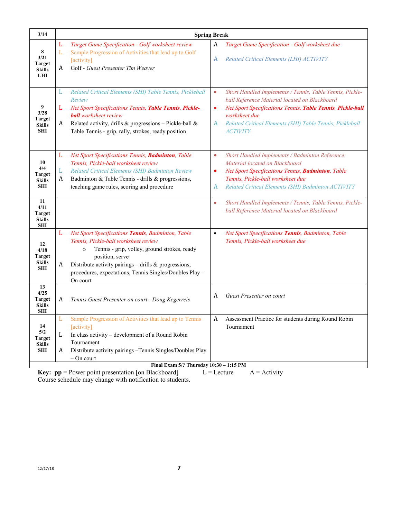| 3/14                                                       | <b>Spring Break</b> |                                                                                                                                                                                                                                                                                                           |                             |                                                                                                                                                                                                                                                                         |  |
|------------------------------------------------------------|---------------------|-----------------------------------------------------------------------------------------------------------------------------------------------------------------------------------------------------------------------------------------------------------------------------------------------------------|-----------------------------|-------------------------------------------------------------------------------------------------------------------------------------------------------------------------------------------------------------------------------------------------------------------------|--|
| 8<br>3/21<br><b>Target</b><br><b>Skills</b><br>LHI         | L<br>L<br>A         | Target Game Specification - Golf worksheet review<br>Sample Progression of Activities that lead up to Golf<br>[activity]<br>Golf - Guest Presenter Tim Weaver                                                                                                                                             | A<br>A                      | Target Game Specification - Golf worksheet due<br>Related Critical Elements (LHI) ACTIVITY                                                                                                                                                                              |  |
| 9<br>3/28<br><b>Target</b><br><b>Skills</b><br><b>SHI</b>  | L<br>L<br>A         | Related Critical Elements (SHI) Table Tennis, Pickleball<br>Review<br>Net Sport Specifications Tennis, Table Tennis, Pickle-<br><b>ball</b> worksheet review<br>Related activity, drills & progressions - Pickle-ball &<br>Table Tennis - grip, rally, strokes, ready position                            | $\bullet$<br>$\bullet$<br>A | Short Handled Implements / Tennis, Table Tennis, Pickle-<br>ball Reference Material located on Blackboard<br>Net Sport Specifications Tennis, Table Tennis, Pickle-ball<br>worksheet due<br>Related Critical Elements (SHI) Table Tennis, Pickleball<br><b>ACTIVITY</b> |  |
| 10<br>4/4<br><b>Target</b><br><b>Skills</b><br>SHI         | L<br>L<br>A         | Net Sport Specifications Tennis, Badminton, Table<br>Tennis, Pickle-ball worksheet review<br>Related Critical Elements (SHI) Badminton Review<br>Badminton & Table Tennis - drills & progressions,<br>teaching game rules, scoring and procedure                                                          | $\bullet$<br>٠<br>A         | Short Handled Implements / Badminton Reference<br>Material located on Blackboard<br>Net Sport Specifications Tennis, Badminton, Table<br>Tennis, Pickle-ball worksheet due<br>Related Critical Elements (SHI) Badminton ACTIVITY                                        |  |
| 11<br>4/11<br><b>Target</b><br><b>Skills</b><br><b>SHI</b> |                     |                                                                                                                                                                                                                                                                                                           | $\bullet$                   | Short Handled Implements / Tennis, Table Tennis, Pickle-<br>ball Reference Material located on Blackboard                                                                                                                                                               |  |
| 12<br>4/18<br><b>Target</b><br>Skills<br><b>SHI</b>        | L<br>A              | Net Sport Specifications Tennis, Badminton, Table<br>Tennis, Pickle-ball worksheet review<br>Tennis - grip, volley, ground strokes, ready<br>$\circ$<br>position, serve<br>Distribute activity pairings $-$ drills & progressions,<br>procedures, expectations, Tennis Singles/Doubles Play -<br>On court | $\bullet$                   | Net Sport Specifications Tennis, Badminton, Table<br>Tennis, Pickle-ball worksheet due                                                                                                                                                                                  |  |
| 13<br>4/25<br><b>Target</b><br><b>Skills</b><br>SHI        | A                   | Tennis Guest Presenter on court - Doug Kegerreis                                                                                                                                                                                                                                                          | A                           | Guest Presenter on court                                                                                                                                                                                                                                                |  |
| 14<br>5/2<br><b>Target</b><br><b>Skills</b><br>SHI         | L<br>A              | Sample Progression of Activities that lead up to Tennis<br>[activity]<br>In class activity – development of a Round Robin<br>Tournament<br>Distribute activity pairings - Tennis Singles/Doubles Play<br>$-$ On court                                                                                     | A                           | Assessment Practice for students during Round Robin<br>Tournament                                                                                                                                                                                                       |  |
|                                                            |                     | Final Exam 5/? Thursday 10:30 - 1:15 PM<br>$Kav$ , $nn =$ $Davron$ $noint$ <i>negaritation</i> $[on$ $Dl$ $ot$ $oout1$                                                                                                                                                                                    |                             | $I = I$ astura<br>$A = A$ of $\ddot{x}$                                                                                                                                                                                                                                 |  |

**Key:**  $pp = Power$  point presentation [on Blackboard]  $L = Lecture$   $A = Activity$ Course schedule may change with notification to students.